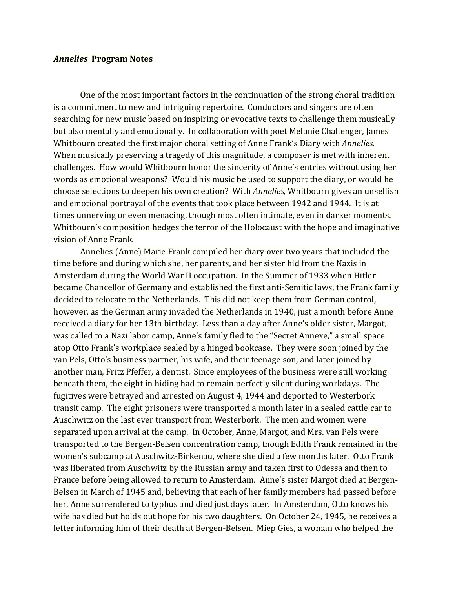## *Annelies* **Program** Notes

One of the most important factors in the continuation of the strong choral tradition is a commitment to new and intriguing repertoire. Conductors and singers are often searching for new music based on inspiring or evocative texts to challenge them musically but also mentally and emotionally. In collaboration with poet Melanie Challenger, James Whitbourn created the first major choral setting of Anne Frank's Diary with *Annelies*. When musically preserving a tragedy of this magnitude, a composer is met with inherent challenges. How would Whitbourn honor the sincerity of Anne's entries without using her words as emotional weapons? Would his music be used to support the diary, or would he choose selections to deepen his own creation? With *Annelies*, Whitbourn gives an unselfish and emotional portrayal of the events that took place between 1942 and 1944. It is at times unnerving or even menacing, though most often intimate, even in darker moments. Whitbourn's composition hedges the terror of the Holocaust with the hope and imaginative vision of Anne Frank.

Annelies (Anne) Marie Frank compiled her diary over two years that included the time before and during which she, her parents, and her sister hid from the Nazis in Amsterdam during the World War II occupation. In the Summer of 1933 when Hitler became Chancellor of Germany and established the first anti-Semitic laws, the Frank family decided to relocate to the Netherlands. This did not keep them from German control, however, as the German army invaded the Netherlands in 1940, just a month before Anne received a diary for her 13th birthday. Less than a day after Anne's older sister, Margot, was called to a Nazi labor camp, Anne's family fled to the "Secret Annexe," a small space atop Otto Frank's workplace sealed by a hinged bookcase. They were soon joined by the van Pels, Otto's business partner, his wife, and their teenage son, and later joined by another man, Fritz Pfeffer, a dentist. Since employees of the business were still working beneath them, the eight in hiding had to remain perfectly silent during workdays. The fugitives were betrayed and arrested on August 4, 1944 and deported to Westerbork transit camp. The eight prisoners were transported a month later in a sealed cattle car to Auschwitz on the last ever transport from Westerbork. The men and women were separated upon arrival at the camp. In October, Anne, Margot, and Mrs. van Pels were transported to the Bergen-Belsen concentration camp, though Edith Frank remained in the women's subcamp at Auschwitz-Birkenau, where she died a few months later. Otto Frank was liberated from Auschwitz by the Russian army and taken first to Odessa and then to France before being allowed to return to Amsterdam. Anne's sister Margot died at Bergen-Belsen in March of 1945 and, believing that each of her family members had passed before her, Anne surrendered to typhus and died just days later. In Amsterdam, Otto knows his wife has died but holds out hope for his two daughters. On October 24, 1945, he receives a letter informing him of their death at Bergen-Belsen. Miep Gies, a woman who helped the